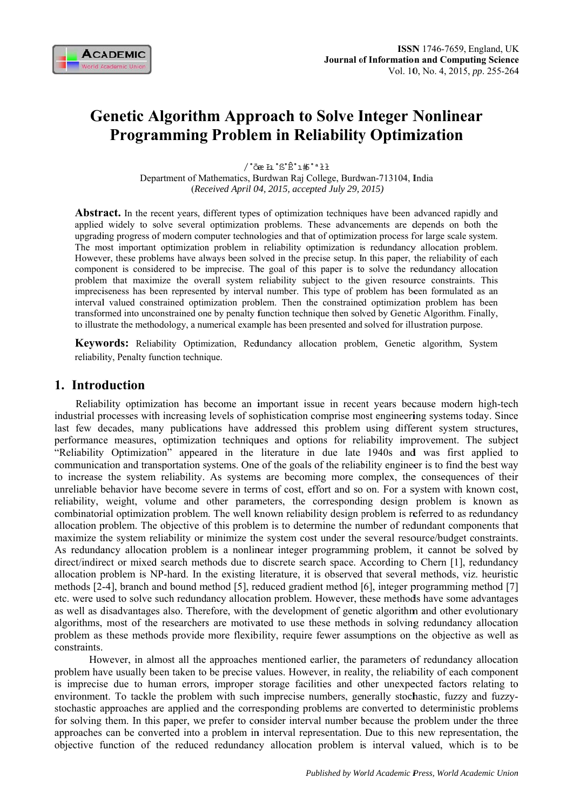

# **Genetic Algorithm Approach to Solve Integer Nonlinear Programming Problem in Reliability Optimization**

/°öæ Łı °ß°Ê°ı#°ªłł Department of Mathematics, Burdwan Raj College, Burdwan-713104, India (Received April 04, 2015, accepted July 29, 2015)

**Abstract.** In the recent years, different types of optimization techniques have been advanced rapidly and applied widely to solve several optimization problems. These advancements are depends on both the upgrading progress of modern computer technologies and that of optimization process for large scale system. The most important optimization problem in reliability optimization is redundancy allocation problem. However, these problems have always been solved in the precise setup. In this paper, the reliability of each component is considered to be imprecise. The goal of this paper is to solve the redundancy allocation problem that maximize the overall system reliability subject to the given resource constraints. This impreciseness has been represented by interval number. This type of problem has been formulated as an interval valued constrained optimization problem. Then the constrained optimization problem has been transformed into unconstrained one by penalty function technique then solved by Genetic Algorithm. Finally, to illustrate the methodology, a numerical example has been presented and solved for illustration purpose.

**Keywords:** Reliability Optimization, Redundancy allocation problem, Genetic algorithm, System reliability, Penalty function technique.

## 1. Introduction

Reliability optimization has become an important issue in recent years because modern high-tech industrial processes with increasing levels of sophistication comprise most engineering systems today. Since last few decades, many publications have addressed this problem using different system structures, performance measures, optimization techniques and options for reliability improvement. The subject "Reliability Optimization" appeared in the literature in due late 1940s and was first applied to communication and transportation systems. One of the goals of the reliability engineer is to find the best way to increase the system reliability. As systems are becoming more complex, the consequences of their unreliable behavior have become severe in terms of cost, effort and so on. For a system with known cost, reliability, weight, volume and other parameters, the corresponding design problem is known as combinatorial optimization problem. The well known reliability design problem is referred to as redundancy allocation problem. The objective of this problem is to determine the number of redundant components that maximize the system reliability or minimize the system cost under the several resource/budget constraints. As redundancy allocation problem is a nonlinear integer programming problem, it cannot be solved by direct/indirect or mixed search methods due to discrete search space. According to Chern [1], redundancy allocation problem is NP-hard. In the existing literature, it is observed that several methods, viz. heuristic methods [2-4], branch and bound method [5], reduced gradient method [6], integer programming method [7] etc. were used to solve such redundancy allocation problem. However, these methods have some advantages as well as disadvantages also. Therefore, with the development of genetic algorithm and other evolutionary algorithms, most of the researchers are motivated to use these methods in solving redundancy allocation problem as these methods provide more flexibility, require fewer assumptions on the objective as well as constraints.

However, in almost all the approaches mentioned earlier, the parameters of redundancy allocation problem have usually been taken to be precise values. However, in reality, the reliability of each component is imprecise due to human errors, improper storage facilities and other unexpected factors relating to environment. To tackle the problem with such imprecise numbers, generally stochastic, fuzzy and fuzzystochastic approaches are applied and the corresponding problems are converted to deterministic problems for solving them. In this paper, we prefer to consider interval number because the problem under the three approaches can be converted into a problem in interval representation. Due to this new representation, the objective function of the reduced redundancy allocation problem is interval valued, which is to be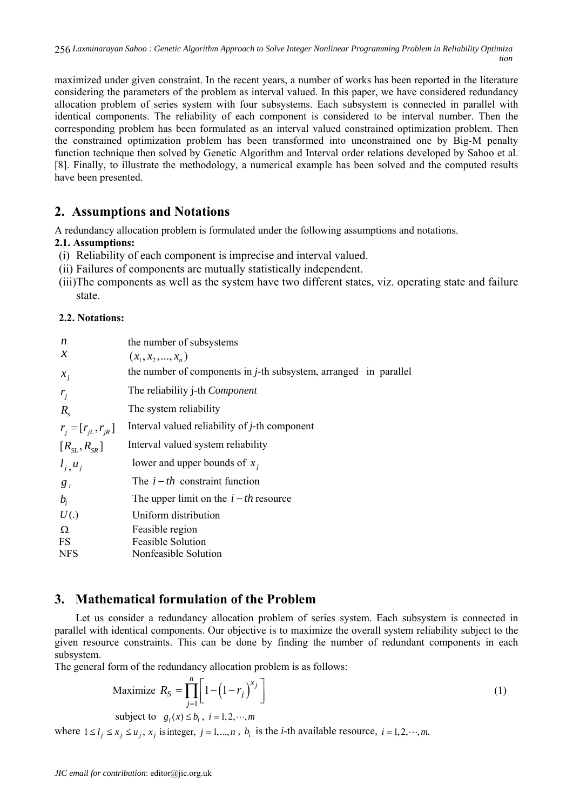maximized under given constraint. In the recent years, a number of works has been reported in the literature considering the parameters of the problem as interval valued. In this paper, we have considered redundancy allocation problem of series system with four subsystems. Each subsystem is connected in parallel with identical components. The reliability of each component is considered to be interval number. Then the corresponding problem has been formulated as an interval valued constrained optimization problem. Then the constrained optimization problem has been transformed into unconstrained one by Big-M penalty function technique then solved by Genetic Algorithm and Interval order relations developed by Sahoo et al. [8]. Finally, to illustrate the methodology, a numerical example has been solved and the computed results have been presented.

## **2. Assumptions and Notations**

A redundancy allocation problem is formulated under the following assumptions and notations.

## **2.1. Assumptions:**

- (i) Reliability of each component is imprecise and interval valued.
- (ii) Failures of components are mutually statistically independent.
- (iii)The components as well as the system have two different states, viz. operating state and failure state.

## **2.2. Notations:**

| n                          | the number of subsystems                                                 |
|----------------------------|--------------------------------------------------------------------------|
| $\mathcal{X}$              | $(x_1, x_2, , x_n)$                                                      |
| $x_i$                      | the number of components in <i>j</i> -th subsystem, arranged in parallel |
| $r_i$                      | The reliability j-th Component                                           |
| $R_{s}$                    | The system reliability                                                   |
| $r_i = [r_{iL}, r_{iR}]$   | Interval valued reliability of <i>j</i> -th component                    |
| $[R_{\rm SI}, R_{\rm SR}]$ | Interval valued system reliability                                       |
| $l_i, u_i$                 | lower and upper bounds of $x_i$                                          |
| $g_i$                      | The $i-th$ constraint function                                           |
| $b_i$                      | The upper limit on the $i-th$ resource                                   |
| U(.)                       | Uniform distribution                                                     |
| Ω                          | Feasible region                                                          |
| FS                         | <b>Feasible Solution</b>                                                 |
| <b>NFS</b>                 | Nonfeasible Solution                                                     |

## **3. Mathematical formulation of the Problem**

Let us consider a redundancy allocation problem of series system. Each subsystem is connected in parallel with identical components. Our objective is to maximize the overall system reliability subject to the given resource constraints. This can be done by finding the number of redundant components in each subsystem.

The general form of the redundancy allocation problem is as follows:

Maximize 
$$
R_S = \prod_{j=1}^{n} \left[ 1 - \left( 1 - r_j \right)^{x_j} \right]
$$
 (1)

subject to  $g_i(x) \leq b_i$ ,  $i = 1, 2, \dots, m$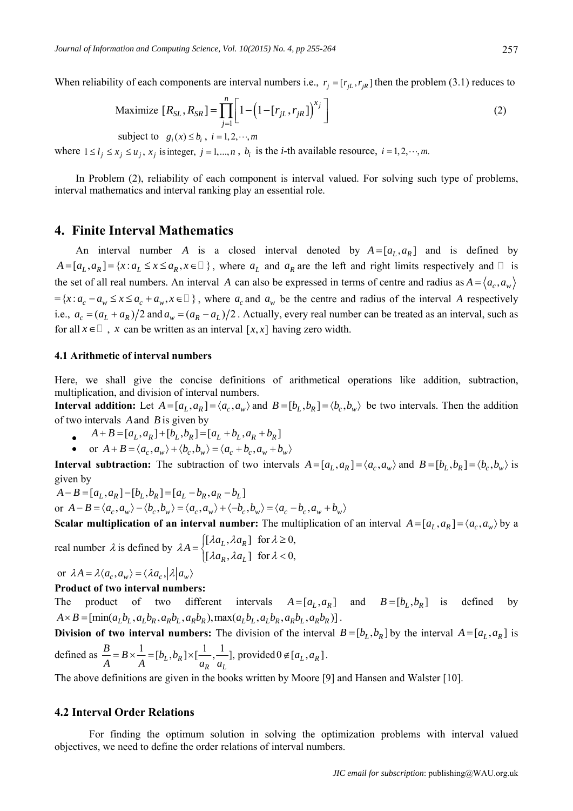When reliability of each components are interval numbers i.e.,  $r_i = [r_{iL}, r_{iR}]$  then the problem (3.1) reduces to

Maximize 
$$
[R_{SL}, R_{SR}] = \prod_{j=1}^{n} \left[ 1 - \left( 1 - [r_{jL}, r_{jR}] \right)^{x_j} \right]
$$
 (2)

subject to  $g_i(x) \leq b_i$ ,  $i = 1, 2, \dots, m$ 

where  $1 \leq l_j \leq x_j \leq u_j$ ,  $x_j$  is integer,  $j = 1,...,n$ ,  $b_i$  is the *i*-th available resource,  $i = 1, 2, \dots, m$ .

In Problem (2), reliability of each component is interval valued. For solving such type of problems, interval mathematics and interval ranking play an essential role.

## **4. Finite Interval Mathematics**

An interval number *A* is a closed interval denoted by  $A = [a_L, a_R]$  and is defined by  $A = [a_L, a_R] = \{x : a_L \le x \le a_R, x \in \mathbb{R}\}$ , where  $a_L$  and  $a_R$  are the left and right limits respectively and  $\mathbb{R}$  is the set of all real numbers. An interval *A* can also be expressed in terms of centre and radius as  $A = \langle a_c, a_w \rangle$  $=\{x : a_c - a_w \le x \le a_c + a_w, x \in \Box\}$ , where  $a_c$  and  $a_w$  be the centre and radius of the interval *A* respectively i.e.,  $a_c = (a_L + a_R)/2$  and  $a_w = (a_R - a_L)/2$ . Actually, every real number can be treated as an interval, such as for all  $x \in \Box$ , x can be written as an interval  $[x, x]$  having zero width.

#### **4.1 Arithmetic of interval numbers**

Here, we shall give the concise definitions of arithmetical operations like addition, subtraction, multiplication, and division of interval numbers.

**Interval addition:** Let  $A = [a_L, a_R] = \langle a_c, a_w \rangle$  and  $B = [b_L, b_R] = \langle b_c, b_w \rangle$  be two intervals. Then the addition of two intervals *A*and *B* is given by

- $\bullet$   $A + B = [a_L, a_R] + [b_L, b_R] = [a_L + b_L, a_R + b_R]$
- or  $A + B = \langle a_c, a_w \rangle + \langle b_c, b_w \rangle = \langle a_c + b_c, a_w + b_w \rangle$

**Interval subtraction:** The subtraction of two intervals  $A = [a_L, a_R] = \langle a_c, a_w \rangle$  and  $B = [b_L, b_R] = \langle b_c, b_w \rangle$  is given by

$$
A - B = [a_L, a_R] - [b_L, b_R] = [a_L - b_R, a_R - b_L]
$$
  
or 
$$
A - B = \langle a_c, a_w \rangle - \langle b_c, b_w \rangle = \langle a_c, a_w \rangle + \langle -b_c, b_w \rangle = \langle a_c - b_c, a_w + b_w \rangle
$$

**Scalar multiplication of an interval number:** The multiplication of an interval  $A = [a_L, a_R] = \langle a_c, a_w \rangle$  by a

real number  $\lambda$  is defined by  $\lambda A = \begin{cases} [\lambda a_L, \lambda a_R] & \text{for } \lambda \ge 0, \\ 0, & \lambda \ge 0, \end{cases}$  $[\lambda a_R, \lambda a_L]$  for  $\lambda < 0$ ,  $_L$ ,  $\mu$ <sub>R</sub>  $_R$ ,  $\mu u_L$  $a_L$ ,  $\lambda a$ *A*  $a_R$ ,  $\lambda a$  $\lambda a_{L}$ ,  $\lambda a_{R}$  for  $\lambda$  $\lambda$  .  $=\begin{cases} [\lambda a_L, \lambda a_R] & \text{for } \lambda \geq \\ [\lambda a_R, \lambda a_L] & \text{for } \lambda < \lambda \end{cases}$  $\left[\lambda a_R, \lambda a_L\right]$  for  $\lambda < 0$ ,

or  $\lambda A = \lambda \langle a_c, a_w \rangle = \langle \lambda a_c, |\lambda| a_w \rangle$ 

**Product of two interval numbers:** 

The product of two different intervals  $A = [a_L, a_R]$  and  $B = [b_L, b_R]$  is defined by  $A \times B = [\min(a_L b_L, a_L b_R, a_R b_L, a_R b_R), \max(a_L b_L, a_L b_R, a_R b_L, a_R b_R)].$ 

**Division of two interval numbers:** The division of the interval  $B = [b_L, b_R]$  by the interval  $A = [a_L, a_R]$  is defined as  $\frac{B}{A} = B \times \frac{1}{A} = [b_L, b_R] \times [\frac{1}{A}, \frac{1}{A}]$ , provided  $0 \notin [a_L, a_R]$  $\frac{B}{A} = B \times \frac{1}{A} = [b_L, b_R] \times [\frac{1}{A}, \frac{1}{B}],$  provided  $0 \notin [a_L, a_R]$  $A \begin{bmatrix} A & A & C & D & R & C \\ C & D & R & C & C \\ D & R & C & C & D \end{bmatrix}$  $B \times \frac{1}{a} = [b_I, b_R] \times [\frac{1}{a_1}, \frac{1}{a_2}]$ , provided  $0 \notin [a_I, a_R]$ .

The above definitions are given in the books written by Moore [9] and Hansen and Walster [10].

*R*  $\mu_L$ 

#### **4.2 Interval Order Relations**

For finding the optimum solution in solving the optimization problems with interval valued objectives, we need to define the order relations of interval numbers.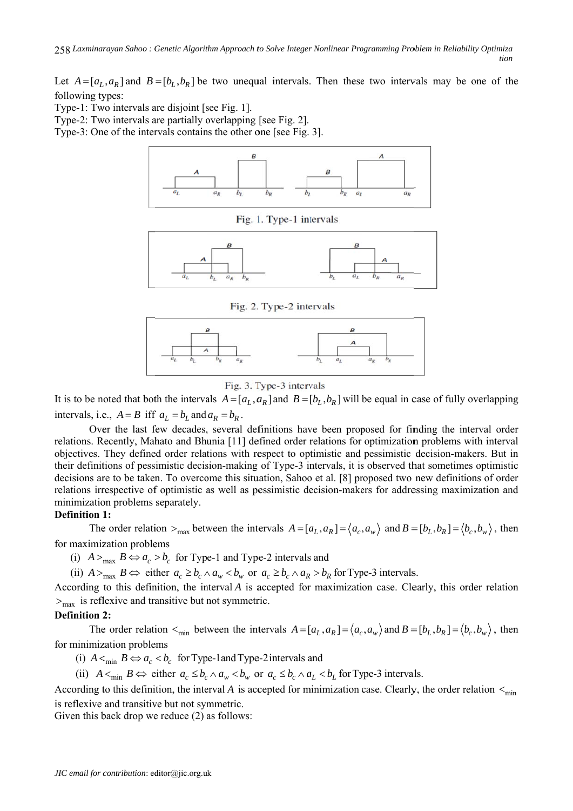Let  $A = [a_L, a_R]$  and  $B = [b_L, b_R]$  be two unequal intervals. Then these two intervals may be one of the following types:

Type-1: Two intervals are disjoint [see Fig. 1].

Type-2: Two intervals are partially overlapping [see Fig. 2].

Type-3: One of the intervals contains the other one [see Fig. 3].



Fig. 1. Type-1 intervals



Fig. 2. Type-2 intervals



## Fig. 3. Type-3 intervals

It is to be noted that both the intervals  $A = [a_L, a_R]$  and  $B = [b_L, b_R]$  will be equal in case of fully overlapping intervals, i.e.,  $A = B$  iff  $a_L = b_L$  and  $a_R = b_R$ .

Over the last few decades, several definitions have been proposed for finding the interval order relations. Recently, Mahato and Bhunia [11] defined order relations for optimization problems with interval objectives. They defined order relations with respect to optimistic and pessimistic decision-makers. But in their definitions of pessimistic decision-making of Type-3 intervals, it is observed that sometimes optimistic decisions are to be taken. To overcome this situation, Sahoo et al. [8] proposed two new definitions of order relations irrespective of optimistic as well as pessimistic decision-makers for addressing maximization and minimization problems separately.

## **Definition 1:**

The order relation  $>_{\text{max}}$  between the intervals  $A = [a_L, a_R] = \langle a_c, a_w \rangle$  and  $B = [b_L, b_R] = \langle b_c, b_w \rangle$ , then for maximization problems

(i)  $A >_{\text{max}} B \Leftrightarrow a_c > b_c$  for Type-1 and Type-2 intervals and

(ii)  $A >_{\text{max}} B \Leftrightarrow$  either  $a_c \ge b_c \wedge a_w < b_w$  or  $a_c \ge b_c \wedge a_R > b_R$  for Type-3 intervals.

According to this definition, the interval A is accepted for maximization case. Clearly, this order relation  $>_{\text{max}}$  is reflexive and transitive but not symmetric.

## **Definition 2:**

The order relation  $\lt_{\min}$  between the intervals  $A = [a_L, a_R] = \langle a_C, a_w \rangle$  and  $B = [b_L, b_R] = \langle b_C, b_w \rangle$ , then for minimization problems

(i)  $A \leq_{\text{min}} B \Leftrightarrow a_c \leq b_c$  for Type-1 and Type-2 intervals and

(ii)  $A \leq_{\min} B \Leftrightarrow$  either  $a_c \leq b_c \wedge a_w < b_w$  or  $a_c \leq b_c \wedge a_l < b_l$  for Type-3 intervals.

According to this definition, the interval A is accepted for minimization case. Clearly, the order relation  $\lt_{\min}$ is reflexive and transitive but not symmetric.

Given this back drop we reduce  $(2)$  as follows: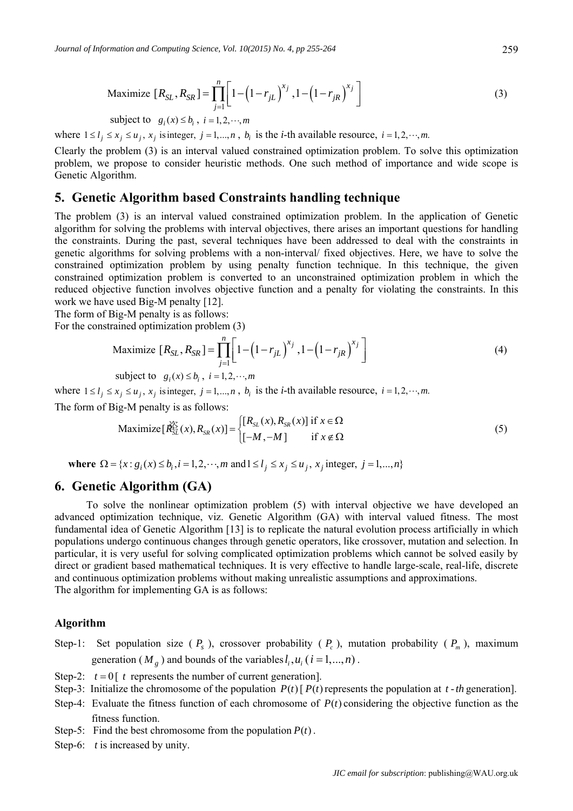Maximize 
$$
[R_{SL}, R_{SR}] = \prod_{j=1}^{n} \left[ 1 - \left(1 - r_{jL}\right)^{x_j}, 1 - \left(1 - r_{jR}\right)^{x_j}\right]
$$
 (3)

subject to 
$$
g_i(x) \leq b_i
$$
,  $i = 1, 2, \dots, m$ 

where  $1 \leq l_i \leq x_j \leq u_i$ ,  $x_i$  is integer,  $j = 1,...,n$ ,  $b_i$  is the *i*-th available resource,  $i = 1, 2, \dots, m$ .

Clearly the problem (3) is an interval valued constrained optimization problem. To solve this optimization problem, we propose to consider heuristic methods. One such method of importance and wide scope is Genetic Algorithm.

## **5. Genetic Algorithm based Constraints handling technique**

The problem (3) is an interval valued constrained optimization problem. In the application of Genetic algorithm for solving the problems with interval objectives, there arises an important questions for handling the constraints. During the past, several techniques have been addressed to deal with the constraints in genetic algorithms for solving problems with a non-interval/ fixed objectives. Here, we have to solve the constrained optimization problem by using penalty function technique. In this technique, the given constrained optimization problem is converted to an unconstrained optimization problem in which the reduced objective function involves objective function and a penalty for violating the constraints. In this work we have used Big-M penalty [12].

The form of Big-M penalty is as follows:

For the constrained optimization problem (3)

Maximize 
$$
[R_{SL}, R_{SR}] = \prod_{j=1}^{n} \left[ 1 - \left(1 - r_{jL}\right)^{x_j}, 1 - \left(1 - r_{jR}\right)^{x_j}\right]
$$
 (4)

subject to  $g_i(x) \leq b_i$ ,  $i = 1, 2, \dots, m$ 

where  $1 \leq l_i \leq x_i \leq u_i$ ,  $x_i$  is integer,  $j = 1,...,n$ ,  $b_i$  is the *i*-th available resource,  $i = 1, 2, \dots, m$ .

The form of Big-M penalty is as follows:

$$
\text{Maximize} \left[\mathbf{\mathring{R}}_{SL}^{\mathcal{K}}(x), R_{SR}(x)\right] = \begin{cases} \left[R_{SL}(x), R_{SR}(x)\right] \text{ if } x \in \Omega\\ \left[-M, -M\right] & \text{if } x \notin \Omega \end{cases}
$$
 (5)

**where**  $\Omega = \{x : g_i(x) \le b_i, i = 1, 2, \dots, m \text{ and } 1 \le l_i \le x_i \le u_i, x_i \text{ integer}, j = 1, \dots, n\}$ 

## **6. Genetic Algorithm (GA)**

To solve the nonlinear optimization problem (5) with interval objective we have developed an advanced optimization technique, viz. Genetic Algorithm (GA) with interval valued fitness. The most fundamental idea of Genetic Algorithm [13] is to replicate the natural evolution process artificially in which populations undergo continuous changes through genetic operators, like crossover, mutation and selection. In particular, it is very useful for solving complicated optimization problems which cannot be solved easily by direct or gradient based mathematical techniques. It is very effective to handle large-scale, real-life, discrete and continuous optimization problems without making unrealistic assumptions and approximations. The algorithm for implementing GA is as follows:

#### **Algorithm**

- Step-1: Set population size  $(P_s)$ , crossover probability  $(P_c)$ , mutation probability  $(P_m)$ , maximum generation ( $M_{g}$ ) and bounds of the variables  $l_{i}$ ,  $u_{i}$  ( $i = 1,...,n$ ).
- Step-2:  $t = 0$   $t$  represents the number of current generation.
- Step-3: Initialize the chromosome of the population  $P(t)$   $P(t)$  represents the population at  $t$  th generation].
- Step-4: Evaluate the fitness function of each chromosome of  $P(t)$  considering the objective function as the fitness function.
- Step-5: Find the best chromosome from the population  $P(t)$ .
- Step-6: *t* is increased by unity.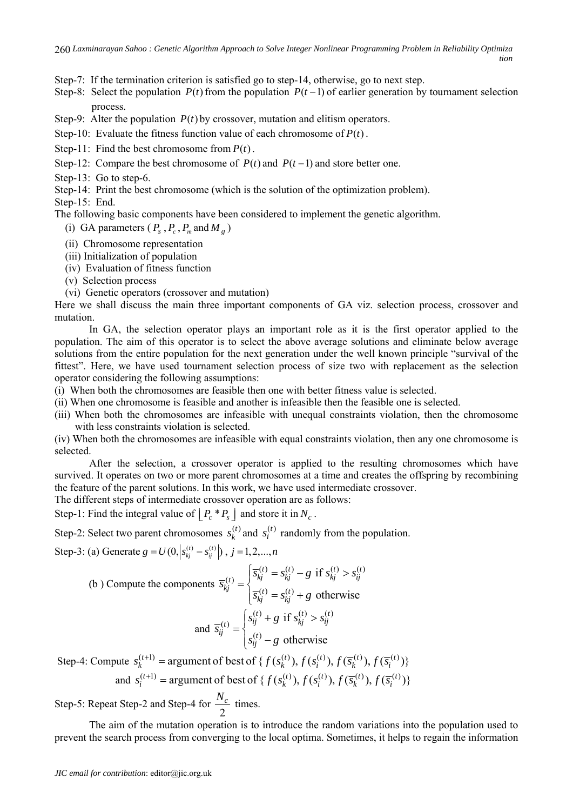Step-7: If the termination criterion is satisfied go to step-14, otherwise, go to next step.

Step-8: Select the population  $P(t)$  from the population  $P(t-1)$  of earlier generation by tournament selection process.

Step-9: Alter the population  $P(t)$  by crossover, mutation and elitism operators.

Step-10: Evaluate the fitness function value of each chromosome of  $P(t)$ .

Step-11: Find the best chromosome from  $P(t)$ .

Step-12: Compare the best chromosome of  $P(t)$  and  $P(t-1)$  and store better one.

Step-13: Go to step-6.

Step-14: Print the best chromosome (which is the solution of the optimization problem).

Step-15: End.

The following basic components have been considered to implement the genetic algorithm.

- (i) GA parameters ( $P_s$ ,  $P_c$ ,  $P_m$  and  $M_g$ )
- (ii) Chromosome representation
- (iii) Initialization of population
- (iv) Evaluation of fitness function
- (v) Selection process
- (vi) Genetic operators (crossover and mutation)

Here we shall discuss the main three important components of GA viz. selection process, crossover and mutation.

In GA, the selection operator plays an important role as it is the first operator applied to the population. The aim of this operator is to select the above average solutions and eliminate below average solutions from the entire population for the next generation under the well known principle "survival of the fittest". Here, we have used tournament selection process of size two with replacement as the selection operator considering the following assumptions:

- (i) When both the chromosomes are feasible then one with better fitness value is selected.
- (ii) When one chromosome is feasible and another is infeasible then the feasible one is selected.
- (iii) When both the chromosomes are infeasible with unequal constraints violation, then the chromosome with less constraints violation is selected.

(iv) When both the chromosomes are infeasible with equal constraints violation, then any one chromosome is selected.

After the selection, a crossover operator is applied to the resulting chromosomes which have survived. It operates on two or more parent chromosomes at a time and creates the offspring by recombining the feature of the parent solutions. In this work, we have used intermediate crossover.

The different steps of intermediate crossover operation are as follows:

Step-1: Find the integral value of  $\left| P_c * P_s \right|$  and store it in  $N_c$ .

Step-2: Select two parent chromosomes  $s_k^{(t)}$  and  $s_i^{(t)}$  randomly from the population.

Step-3: (a) Generate  $g = U(0, |s_{kj}^{(t)} - s_{ij}^{(t)}|)$  ,  $j = 1, 2, ..., n$ 

(b) Compute the components 
$$
\overline{s}_{kj}^{(t)} = \begin{cases} \overline{s}_{kj}^{(t)} = s_{kj}^{(t)} - g & \text{if } s_{kj}^{(t)} > s_{ij}^{(t)} \\ \overline{s}_{kj}^{(t)} = s_{kj}^{(t)} + g & \text{otherwise} \end{cases}
$$
and 
$$
\overline{s}_{ij}^{(t)} = \begin{cases} s_{ij}^{(t)} + g & \text{if } s_{kj}^{(t)} > s_{ij}^{(t)} \\ s_{ij}^{(t)} - g & \text{otherwise} \end{cases}
$$

Step-4: Compute  $s_k^{(t+1)}$  = argument of best of {  $f(s_k^{(t)}), f(s_i^{(t)}), f(\overline{s}_k^{(t)}), f(\overline{s}_i^{(t)})$ } and  $s_i^{(t+1)}$  = argument of best of {  $f(s_k^{(t)}), f(s_i^{(t)}), f(\overline{s_k}^{(t)}), f(\overline{s_i}^{(t)})$ }

Step-5: Repeat Step-2 and Step-4 for  $\frac{1}{2}$  $\frac{N_c}{I}$  times.

The aim of the mutation operation is to introduce the random variations into the population used to prevent the search process from converging to the local optima. Sometimes, it helps to regain the information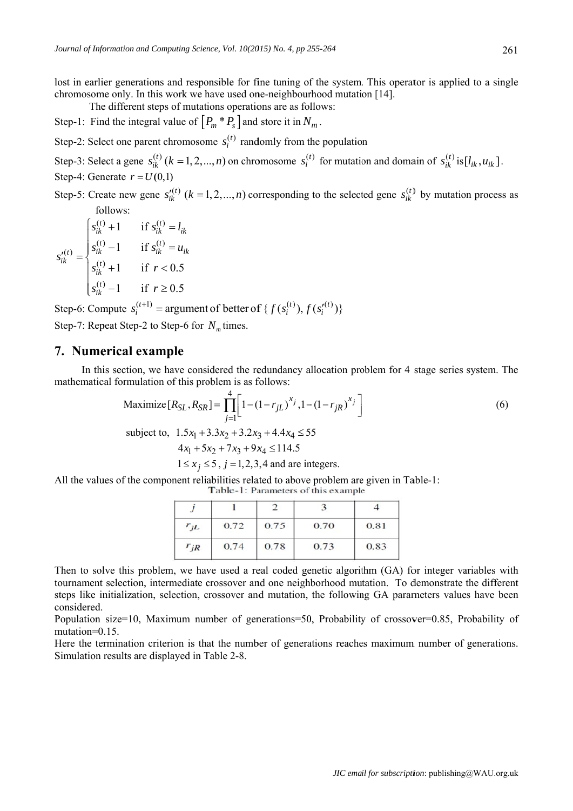lost in earlier generations and responsible for fine tuning of the system. This operator is applied to a single chromosome only. In this work we have used one-neighbourhood mutation [14].

The different steps of mutations operations are as follows:

Step-1: Find the integral value of  $[P_m * P_s]$  and store it in  $N_m$ .

Step-2: Select one parent chromosome  $s_i^{(t)}$  randomly from the population

Step-3: Select a gene  $s_{ik}^{(t)}$   $(k = 1, 2, ..., n)$  on chromosome  $s_i^{(t)}$  for mutation and domain of  $s_{ik}^{(t)}$  is  $[l_{ik}, u_{ik}]$ . Step-4: Generate  $r = U(0,1)$ 

Step-5: Create new gene  $s_{ik}^{(t)}$  ( $k = 1, 2, ..., n$ ) corresponding to the selected gene  $s_{ik}^{(t)}$  by mutation process as follows:

 $s_{ik}^{\prime(t)} = \begin{cases} s_{ik}^{(t)} + 1 & \text{if } s_{ik}^{(t)} = l_{ik} \\ s_{ik}^{(t)} - 1 & \text{if } s_{ik}^{(t)} = u_{ik} \\ s_{ik}^{(t)} + 1 & \text{if } r < 0.5 \end{cases}$  $s_n^{(t)}-1$  if  $r \ge 0.5$ 

Step-6: Compute  $s_i^{(t+1)}$  = argument of better of  $\{f(s_i^{(t)}), f(s_i^{(t)})\}$ Step-7: Repeat Step-2 to Step-6 for  $N<sub>m</sub>$  times.

## 7. Numerical example

In this section, we have considered the redundancy allocation problem for 4 stage series system. The mathematical formulation of this problem is as follows:

Maximize 
$$
[R_{SL}, R_{SR}] = \prod_{j=1}^{4} \left[ 1 - (1 - r_{jL})^{x_j}, 1 - (1 - r_{jR})^{x_j} \right]
$$
 (6)

subject to,  $1.5x_1 + 3.3x_2 + 3.2x_3 + 4.4x_4 \le 55$ 

$$
x_1 + 5x_2 + 7x_3 + 9x_4 \le 114.5
$$

$$
1 \le x_j \le 5
$$
,  $j = 1, 2, 3, 4$  and are integers.

All the values of the component reliabilities related to above problem are given in Table-1:

Table-1: Parameters of this example

| $r_{jL}$ | 0.72 | 0.75 | 0.70 | 0.81 |
|----------|------|------|------|------|
| $r_{jR}$ | 0.74 | 0.78 | 0.73 | 0.83 |

Then to solve this problem, we have used a real coded genetic algorithm (GA) for integer variables with tournament selection, intermediate crossover and one neighborhood mutation. To demonstrate the different steps like initialization, selection, crossover and mutation, the following GA parameters values have been considered.

Population size=10. Maximum number of generations=50. Probability of crossover=0.85. Probability of mutation=0.15.

Here the termination criterion is that the number of generations reaches maximum number of generations. Simulation results are displayed in Table 2-8.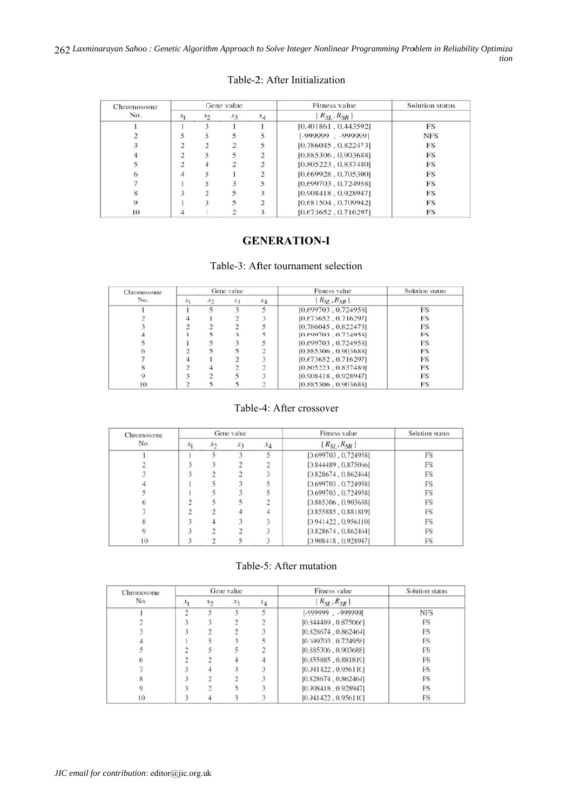262 Laxminarayan Sahoo: Genetic Algorithm Approach to Solve Integer Nonlinear Programming Problem in Reliability Optimiza tion

## Table-2: After Initialization

| Chromosome |                |       | Gene value      |                | Fitness value        | <b>Solution status</b> |
|------------|----------------|-------|-----------------|----------------|----------------------|------------------------|
| No.        | $x_1$          | $x_2$ | $\mathcal{X}_3$ | $x_4$          | $[R_{SL}, R_{SR}]$   |                        |
|            |                |       |                 |                | [0.401861, 0.443592] | <b>FS</b>              |
|            | 5              |       |                 |                | $[-999999 - 999999]$ | <b>NFS</b>             |
|            | ∍              |       |                 |                | [0.786045, 0.822473] | FS                     |
|            | $\overline{c}$ |       |                 | $\mathfrak{D}$ | [0.885306, 0.903688] | <b>FS</b>              |
|            | 2              |       |                 | $\rightarrow$  | [0.805223, 0.837480] | <b>FS</b>              |
| 6          | 4              |       |                 | $\mathcal{D}$  | [0.669928, 0.705300] | <b>FS</b>              |
|            |                |       |                 |                | [0.699703, 0.724958] | <b>FS</b>              |
|            |                |       |                 |                | [0.908418, 0.928947] | <b>FS</b>              |
| Q          |                |       |                 |                | [0.681504, 0.709942] | FS                     |
| 10         |                |       |                 |                | [0.673652, 0.716297] | FS                     |

## **GENERATION-I**

#### Table-3: After tournament selection

| Chromosome |       |               | Gene value |       | Fitness value        | Solution status |
|------------|-------|---------------|------------|-------|----------------------|-----------------|
| No.        | $x_1$ | $\mathcal{X}$ | $x_3$      | $x_4$ | $[R_{SL}, R_{SR}]$   |                 |
|            |       |               |            |       | [0.699703, 0.724958] | <b>FS</b>       |
|            |       |               |            |       | [0.673652, 0.716297] | <b>FS</b>       |
|            |       |               |            |       | [0.786045, 0.822473] | <b>FS</b>       |
|            |       |               |            |       | [0.699703, 0.724958] | <b>FS</b>       |
|            |       |               |            |       | [0.699703, 0.724958] | FS              |
|            |       |               |            |       | [0.885306, 0.903688] | <b>FS</b>       |
|            |       |               |            |       | [0.673652, 0.716297] | <b>FS</b>       |
|            |       |               |            |       | [0.805223, 0.837480] | <b>FS</b>       |
|            |       |               |            |       | [0.908418, 0.928947] | <b>FS</b>       |
| 10         |       |               |            |       | [0.885306, 0.903688] | <b>FS</b>       |

## Table-4: After crossover

| Chromosome |                |       | Gene value      |       | Fitness value        | Solution status |
|------------|----------------|-------|-----------------|-------|----------------------|-----------------|
| No.        | X <sub>1</sub> | $x_2$ | $\mathcal{X}_3$ | $x_4$ | $[R_{SL}, R_{SR}]$   |                 |
|            |                |       |                 |       | [0.699703, 0.724958] | FS              |
|            |                |       |                 |       | [0.844489, 0.875066] | FS              |
|            |                |       |                 |       | [0.828674, 0.862464] | FS              |
|            |                |       |                 |       | [0.699703, 0.724958] | FS              |
|            |                |       |                 |       | [0.699703, 0.724958] | FS              |
|            |                |       |                 |       | [0.885306, 0.903688] | FS              |
|            |                |       |                 |       | [0.855885, 0.881819] | FS              |
|            |                |       |                 |       | [0.941422, 0.956110] | FS              |
|            |                |       |                 |       | [0.828674, 0.862464] | FS              |
| 10         |                |       |                 |       | [0.908418, 0.928947] | FS              |

| Chromosome |       |                             | Gene value |       | Fitness value        | Solution status |
|------------|-------|-----------------------------|------------|-------|----------------------|-----------------|
| No.        | $x_1$ | $\mathcal{X}_{\mathcal{D}}$ | $x_3$      | $x_4$ | $[R_{SL}, R_{SR}]$   |                 |
|            |       |                             |            |       | $[-999999 - 999999]$ | <b>NFS</b>      |
|            |       |                             |            |       | [0.844489, 0.875066] | FS              |
|            |       |                             |            |       | [0.828674, 0.862464] | FS              |
|            |       |                             |            |       | [0.699703, 0.724958] | FS              |
|            |       |                             |            |       | [0.885306, 0.903688] | FS              |
|            |       |                             |            |       | [0.855885, 0.881819] | FS              |
|            |       |                             |            |       | [0.941422, 0.956110] | FS              |
|            |       |                             |            |       | [0.828674, 0.862464] | FS              |
|            |       |                             |            |       | [0.908418, 0.928947] | FS              |
| 10         |       |                             |            |       | [0.941422, 0.956110] | FS              |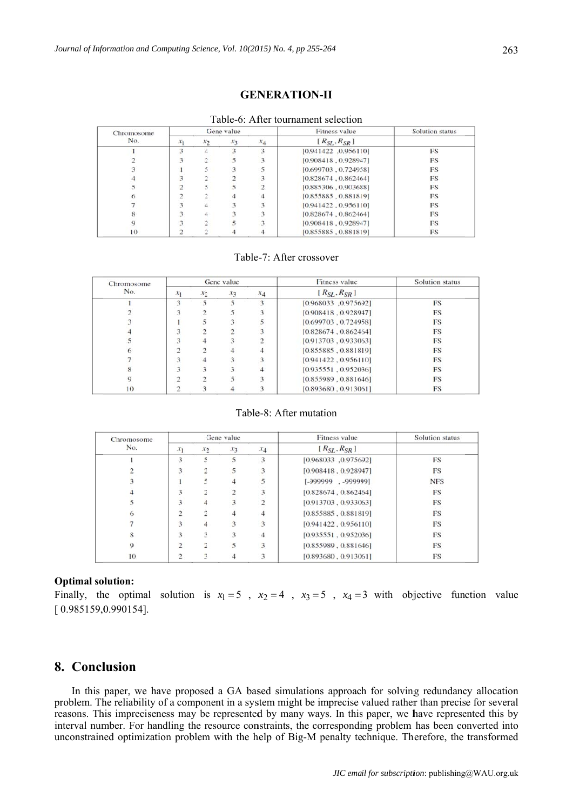## **GENERATION-II**

|  | Table-6: After tournament selection |  |
|--|-------------------------------------|--|
|  |                                     |  |

| Chromosome |                |               | Gene value |       | <b>Fitness</b> value | Solution status |
|------------|----------------|---------------|------------|-------|----------------------|-----------------|
| No.        | $x_1$          | $\mathcal{X}$ | $x_3$      | $x_4$ | $[R_{SL}, R_{SR}]$   |                 |
|            |                |               |            |       | [0.941422, 0.956110] | FS              |
|            |                |               |            |       | [0.908418, 0.928947] | FS              |
|            |                |               |            |       | [0.699703, 0.724958] | FS              |
|            |                |               |            |       | [0.828674, 0.862464] | FS              |
|            | $\overline{c}$ |               |            |       | [0.885306, 0.903688] | FS              |
|            |                |               |            |       | [0.855885, 0.881819] | FS              |
|            |                |               |            |       | [0.941422, 0.956110] | FS              |
|            |                |               |            |       | [0.828674, 0.862464] | FS              |
|            |                |               |            |       | [0.908418, 0.928947] | FS              |
| 10         |                |               |            |       | [0.855885, 0.881819] | FS              |

#### Table-7: After crossover

| Chromosome<br>No. |                    |               | Gene value      |       | <b>Fitness</b> value | Solution status |
|-------------------|--------------------|---------------|-----------------|-------|----------------------|-----------------|
|                   | $x_1$              | $\mathcal{X}$ | $\mathcal{X}$ 3 | $x_4$ | $[R_{SI}, R_{SR}]$   |                 |
|                   | $\mathbf{\hat{z}}$ |               |                 |       | [0.968033, 0.975692] | FS              |
|                   |                    |               |                 |       | [0.908418, 0.928947] | FS              |
|                   |                    |               |                 |       | [0.699703, 0.724958] | FS              |
|                   |                    |               |                 |       | [0.828674, 0.862464] | <b>FS</b>       |
|                   |                    |               |                 |       | [0.913703, 0.933063] | <b>FS</b>       |
|                   |                    |               |                 |       | [0.855885, 0.881819] | FS              |
|                   |                    |               |                 |       | [0.941422, 0.956110] | FS              |
|                   |                    |               |                 |       | [0.935551, 0.952036] | <b>FS</b>       |
|                   |                    |               |                 |       | [0.855989, 0.881646] | <b>FS</b>       |
| 10                |                    |               |                 |       | [0.893680, 0.913061] | FS              |

#### Table-8: After mutation

| Chromosome |                 |       | Gene value |       | Fitness value        | Solution status |
|------------|-----------------|-------|------------|-------|----------------------|-----------------|
| No.        | $\mathcal{X}_1$ | $x_2$ | $x_3$      | $x_4$ | $[R_{SL}, R_{SR}]$   |                 |
|            | 3               |       |            | 3     | [0.968033, 0.975692] | <b>FS</b>       |
|            | 3               |       |            |       | [0.908418, 0.928947] | FS              |
|            |                 |       |            |       | [-999999. -999999]   | <b>NFS</b>      |
|            |                 |       |            |       | [0.828674, 0.862464] | FS              |
|            | 3               |       |            |       | [0.913703, 0.933063] | <b>FS</b>       |
|            | $\mathcal{I}$   |       |            |       | [0.855885, 0.881819] | FS              |
|            | 3               |       |            |       | [0.941422, 0.956110] | <b>FS</b>       |
|            | 3               |       |            |       | [0.935551, 0.952036] | FS              |
| 9          | 2               |       |            |       | [0.855989, 0.881646] | <b>FS</b>       |
| 10         |                 |       |            |       | [0.893680, 0.913061] | FS              |

#### **Optimal solution:**

Finally, the optimal solution is  $x_1 = 5$ ,  $x_2 = 4$ ,  $x_3 = 5$ ,  $x_4 = 3$  with objective function value  $[0.985159, 0.990154]$ .

## 8. Conclusion

In this paper, we have proposed a GA based simulations approach for solving redundancy allocation problem. The reliability of a component in a system might be imprecise valued rather than precise for several reasons. This impreciseness may be represented by many ways. In this paper, we have represented this by interval number. For handling the resource constraints, the corresponding problem has been converted into unconstrained optimization problem with the help of Big-M penalty technique. Therefore, the transformed